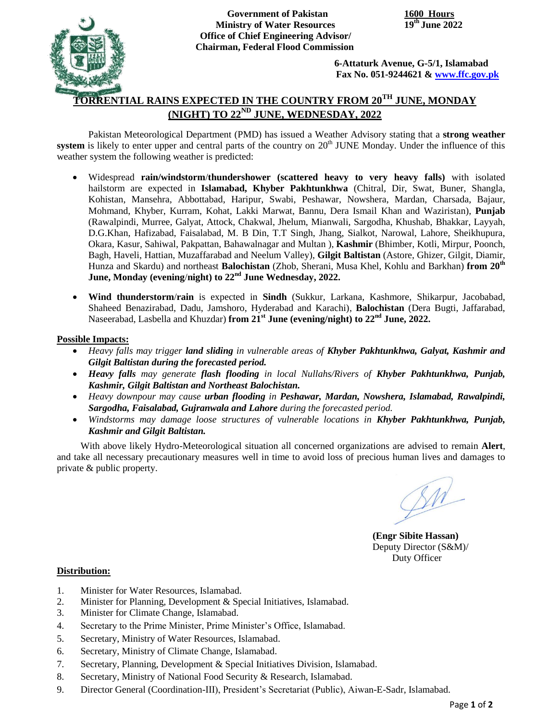

**Government of Pakistan 1600 Hours Ministry of Water Resources Office of Chief Engineering Advisor/ Chairman, Federal Flood Commission**

 **6-Attaturk Avenue, G-5/1, Islamabad Fax No. 051-9244621 & [www.ffc.gov.pk](http://www.ffc.gov.pk/)**

# **TORRENTIAL RAINS EXPECTED IN THE COUNTRY FROM 20TH JUNE, MONDAY (NIGHT) TO 22ND JUNE, WEDNESDAY, 2022**

Pakistan Meteorological Department (PMD) has issued a Weather Advisory stating that a **strong weather** system is likely to enter upper and central parts of the country on 20<sup>th</sup> JUNE Monday. Under the influence of this weather system the following weather is predicted:

- Widespread **rain/windstorm**/**thundershower (scattered heavy to very heavy falls)** with isolated hailstorm are expected in **Islamabad, Khyber Pakhtunkhwa** (Chitral, Dir, Swat, Buner, Shangla, Kohistan, Mansehra, Abbottabad, Haripur, Swabi, Peshawar, Nowshera, Mardan, Charsada, Bajaur, Mohmand, Khyber, Kurram, Kohat, Lakki Marwat, Bannu, Dera Ismail Khan and Waziristan), **Punjab** (Rawalpindi, Murree, Galyat, Attock, Chakwal, Jhelum, Mianwali, Sargodha, Khushab, Bhakkar, Layyah, D.G.Khan, Hafizabad, Faisalabad, M. B Din, T.T Singh, Jhang, Sialkot, Narowal, Lahore, Sheikhupura, Okara, Kasur, Sahiwal, Pakpattan, Bahawalnagar and Multan ), **Kashmir** (Bhimber, Kotli, Mirpur, Poonch, Bagh, Haveli, Hattian, Muzaffarabad and Neelum Valley), **Gilgit Baltistan** (Astore, Ghizer, Gilgit, Diamir, Hunza and Skardu) and northeast **Balochistan** (Zhob, Sherani, Musa Khel, Kohlu and Barkhan) **from 20th June, Monday (evening**/**night) to 22nd June Wednesday, 2022.**
- **Wind thunderstorm**/**rain** is expected in **Sindh** (Sukkur, Larkana, Kashmore, Shikarpur, Jacobabad, Shaheed Benazirabad, Dadu, Jamshoro, Hyderabad and Karachi), **Balochistan** (Dera Bugti, Jaffarabad, Naseerabad, Lasbella and Khuzdar) **from 21st June (evening/night) to 22nd June, 2022.**

### **Possible Impacts:**

- *Heavy falls may trigger land sliding in vulnerable areas of Khyber Pakhtunkhwa, Galyat, Kashmir and Gilgit Baltistan during the forecasted period.*
- *Heavy falls may generate flash flooding in local Nullahs/Rivers of Khyber Pakhtunkhwa, Punjab, Kashmir, Gilgit Baltistan and Northeast Balochistan.*
- *Heavy downpour may cause urban flooding in Peshawar, Mardan, Nowshera, Islamabad, Rawalpindi, Sargodha, Faisalabad, Gujranwala and Lahore during the forecasted period.*
- *Windstorms may damage loose structures of vulnerable locations in Khyber Pakhtunkhwa, Punjab, Kashmir and Gilgit Baltistan.*

With above likely Hydro-Meteorological situation all concerned organizations are advised to remain **Alert**, and take all necessary precautionary measures well in time to avoid loss of precious human lives and damages to private & public property.

 $\cancel{M}$ 

**(Engr Sibite Hassan)** Deputy Director (S&M)/ Duty Officer

#### **Distribution:**

- 1. Minister for Water Resources, Islamabad.
- 2. Minister for Planning, Development & Special Initiatives, Islamabad.
- 3. Minister for Climate Change, Islamabad.
- 4. Secretary to the Prime Minister, Prime Minister's Office, Islamabad.
- 5. Secretary, Ministry of Water Resources, Islamabad.
- 6. Secretary, Ministry of Climate Change, Islamabad.
- 7. Secretary, Planning, Development & Special Initiatives Division, Islamabad.
- 8. Secretary, Ministry of National Food Security & Research, Islamabad.
- 9. Director General (Coordination-III), President's Secretariat (Public), Aiwan-E-Sadr, Islamabad.